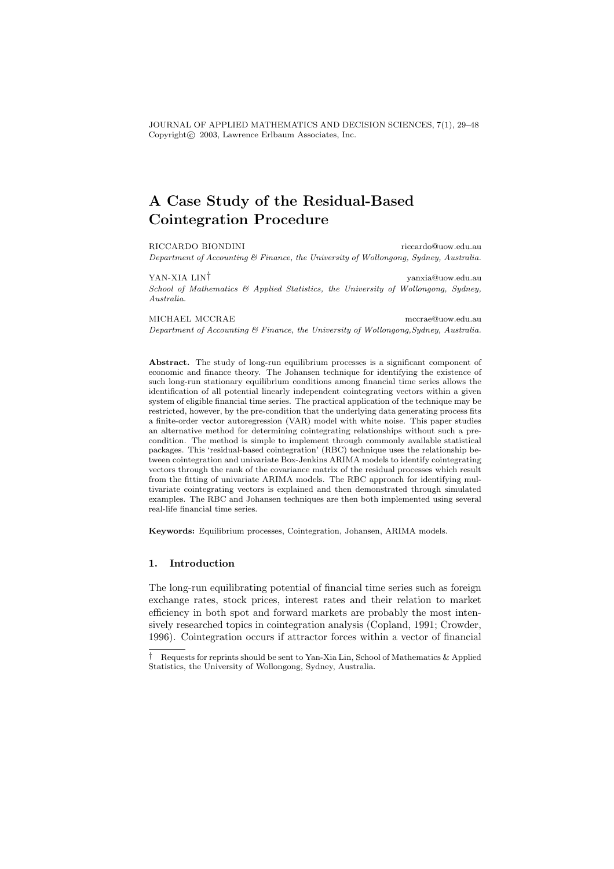JOURNAL OF APPLIED MATHEMATICS AND DECISION SCIENCES, 7(1), 29–48 Copyright (C) 2003, Lawrence Erlbaum Associates, Inc.

# A Case Study of the Residual-Based Cointegration Procedure

RICCARDO BIONDINI riccardo@uow.edu.au Department of Accounting & Finance, the University of Wollongong, Sydney, Australia.

YAN-XIA LIN† yanxia@uow.edu.au School of Mathematics & Applied Statistics, the University of Wollongong, Sydney, Australia.

MICHAEL MCCRAE mccrae@uow.edu.au Department of Accounting & Finance, the University of Wollongong,Sydney, Australia.

Abstract. The study of long-run equilibrium processes is a significant component of economic and finance theory. The Johansen technique for identifying the existence of such long-run stationary equilibrium conditions among financial time series allows the identification of all potential linearly independent cointegrating vectors within a given system of eligible financial time series. The practical application of the technique may be restricted, however, by the pre-condition that the underlying data generating process fits a finite-order vector autoregression (VAR) model with white noise. This paper studies an alternative method for determining cointegrating relationships without such a precondition. The method is simple to implement through commonly available statistical packages. This 'residual-based cointegration' (RBC) technique uses the relationship between cointegration and univariate Box-Jenkins ARIMA models to identify cointegrating vectors through the rank of the covariance matrix of the residual processes which result from the fitting of univariate ARIMA models. The RBC approach for identifying multivariate cointegrating vectors is explained and then demonstrated through simulated examples. The RBC and Johansen techniques are then both implemented using several real-life financial time series.

Keywords: Equilibrium processes, Cointegration, Johansen, ARIMA models.

# 1. Introduction

The long-run equilibrating potential of financial time series such as foreign exchange rates, stock prices, interest rates and their relation to market efficiency in both spot and forward markets are probably the most intensively researched topics in cointegration analysis (Copland, 1991; Crowder, 1996). Cointegration occurs if attractor forces within a vector of financial

<sup>†</sup> Requests for reprints should be sent to Yan-Xia Lin, School of Mathematics & Applied Statistics, the University of Wollongong, Sydney, Australia.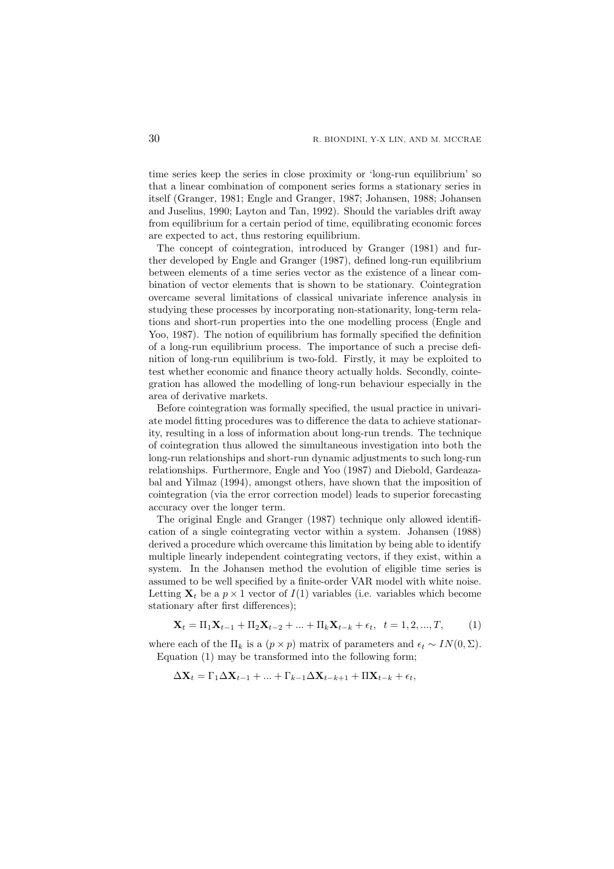time series keep the series in close proximity or 'long-run equilibrium' so that a linear combination of component series forms a stationary series in itself (Granger, 1981; Engle and Granger, 1987; Johansen, 1988; Johansen and Juselius, 1990; Layton and Tan, 1992). Should the variables drift away from equilibrium for a certain period of time, equilibrating economic forces are expected to act, thus restoring equilibrium.

The concept of cointegration, introduced by Granger (1981) and further developed by Engle and Granger (1987), defined long-run equilibrium between elements of a time series vector as the existence of a linear combination of vector elements that is shown to be stationary. Cointegration overcame several limitations of classical univariate inference analysis in studying these processes by incorporating non-stationarity, long-term relations and short-run properties into the one modelling process (Engle and Yoo, 1987). The notion of equilibrium has formally specified the definition of a long-run equilibrium process. The importance of such a precise definition of long-run equilibrium is two-fold. Firstly, it may be exploited to test whether economic and finance theory actually holds. Secondly, cointegration has allowed the modelling of long-run behaviour especially in the area of derivative markets.

Before cointegration was formally specified, the usual practice in univariate model fitting procedures was to difference the data to achieve stationarity, resulting in a loss of information about long-run trends. The technique of cointegration thus allowed the simultaneous investigation into both the long-run relationships and short-run dynamic adjustments to such long-run relationships. Furthermore, Engle and Yoo (1987) and Diebold, Gardeazabal and Yilmaz (1994), amongst others, have shown that the imposition of cointegration (via the error correction model) leads to superior forecasting accuracy over the longer term.

The original Engle and Granger (1987) technique only allowed identification of a single cointegrating vector within a system. Johansen (1988) derived a procedure which overcame this limitation by being able to identify multiple linearly independent cointegrating vectors, if they exist, within a system. In the Johansen method the evolution of eligible time series is assumed to be well specified by a finite-order VAR model with white noise. Letting  $X_t$  be a  $p \times 1$  vector of  $I(1)$  variables (i.e. variables which become stationary after first differences);

$$
\mathbf{X}_{t} = \Pi_{1}\mathbf{X}_{t-1} + \Pi_{2}\mathbf{X}_{t-2} + \dots + \Pi_{k}\mathbf{X}_{t-k} + \epsilon_{t}, \quad t = 1, 2, ..., T,
$$
 (1)

where each of the  $\Pi_k$  is a  $(p \times p)$  matrix of parameters and  $\epsilon_t \sim IN(0, \Sigma)$ . Equation (1) may be transformed into the following form;

$$
\Delta \mathbf{X}_t = \Gamma_1 \Delta \mathbf{X}_{t-1} + \dots + \Gamma_{k-1} \Delta \mathbf{X}_{t-k+1} + \Pi \mathbf{X}_{t-k} + \epsilon_t,
$$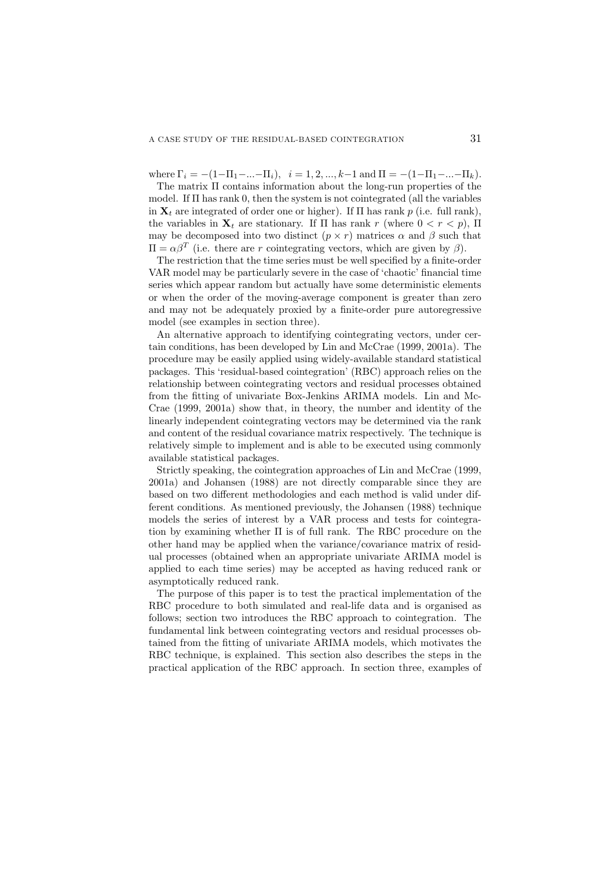where  $\Gamma_i = -(1-\Pi_1-\dots-\Pi_i), i = 1, 2, ..., k-1$  and  $\Pi = -(1-\Pi_1-\dots-\Pi_k).$ 

The matrix Π contains information about the long-run properties of the model. If Π has rank 0, then the system is not cointegrated (all the variables in  $X_t$  are integrated of order one or higher). If  $\Pi$  has rank p (i.e. full rank), the variables in  $\mathbf{X}_t$  are stationary. If  $\Pi$  has rank r (where  $0 < r < p$ ),  $\Pi$ may be decomposed into two distinct  $(p \times r)$  matrices  $\alpha$  and  $\beta$  such that  $\Pi = \alpha \beta^T$  (i.e. there are r cointegrating vectors, which are given by  $\beta$ ).

The restriction that the time series must be well specified by a finite-order VAR model may be particularly severe in the case of 'chaotic' financial time series which appear random but actually have some deterministic elements or when the order of the moving-average component is greater than zero and may not be adequately proxied by a finite-order pure autoregressive model (see examples in section three).

An alternative approach to identifying cointegrating vectors, under certain conditions, has been developed by Lin and McCrae (1999, 2001a). The procedure may be easily applied using widely-available standard statistical packages. This 'residual-based cointegration' (RBC) approach relies on the relationship between cointegrating vectors and residual processes obtained from the fitting of univariate Box-Jenkins ARIMA models. Lin and Mc-Crae (1999, 2001a) show that, in theory, the number and identity of the linearly independent cointegrating vectors may be determined via the rank and content of the residual covariance matrix respectively. The technique is relatively simple to implement and is able to be executed using commonly available statistical packages.

Strictly speaking, the cointegration approaches of Lin and McCrae (1999, 2001a) and Johansen (1988) are not directly comparable since they are based on two different methodologies and each method is valid under different conditions. As mentioned previously, the Johansen (1988) technique models the series of interest by a VAR process and tests for cointegration by examining whether  $\Pi$  is of full rank. The RBC procedure on the other hand may be applied when the variance/covariance matrix of residual processes (obtained when an appropriate univariate ARIMA model is applied to each time series) may be accepted as having reduced rank or asymptotically reduced rank.

The purpose of this paper is to test the practical implementation of the RBC procedure to both simulated and real-life data and is organised as follows; section two introduces the RBC approach to cointegration. The fundamental link between cointegrating vectors and residual processes obtained from the fitting of univariate ARIMA models, which motivates the RBC technique, is explained. This section also describes the steps in the practical application of the RBC approach. In section three, examples of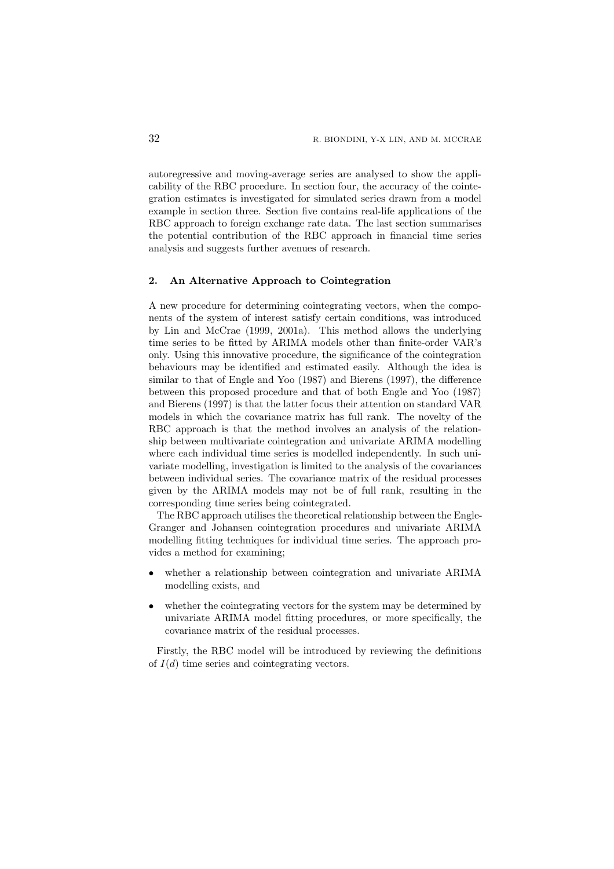autoregressive and moving-average series are analysed to show the applicability of the RBC procedure. In section four, the accuracy of the cointegration estimates is investigated for simulated series drawn from a model example in section three. Section five contains real-life applications of the RBC approach to foreign exchange rate data. The last section summarises the potential contribution of the RBC approach in financial time series analysis and suggests further avenues of research.

#### 2. An Alternative Approach to Cointegration

A new procedure for determining cointegrating vectors, when the components of the system of interest satisfy certain conditions, was introduced by Lin and McCrae (1999, 2001a). This method allows the underlying time series to be fitted by ARIMA models other than finite-order VAR's only. Using this innovative procedure, the significance of the cointegration behaviours may be identified and estimated easily. Although the idea is similar to that of Engle and Yoo (1987) and Bierens (1997), the difference between this proposed procedure and that of both Engle and Yoo (1987) and Bierens (1997) is that the latter focus their attention on standard VAR models in which the covariance matrix has full rank. The novelty of the RBC approach is that the method involves an analysis of the relationship between multivariate cointegration and univariate ARIMA modelling where each individual time series is modelled independently. In such univariate modelling, investigation is limited to the analysis of the covariances between individual series. The covariance matrix of the residual processes given by the ARIMA models may not be of full rank, resulting in the corresponding time series being cointegrated.

The RBC approach utilises the theoretical relationship between the Engle-Granger and Johansen cointegration procedures and univariate ARIMA modelling fitting techniques for individual time series. The approach provides a method for examining;

- whether a relationship between cointegration and univariate ARIMA modelling exists, and
- whether the cointegrating vectors for the system may be determined by univariate ARIMA model fitting procedures, or more specifically, the covariance matrix of the residual processes.

Firstly, the RBC model will be introduced by reviewing the definitions of  $I(d)$  time series and cointegrating vectors.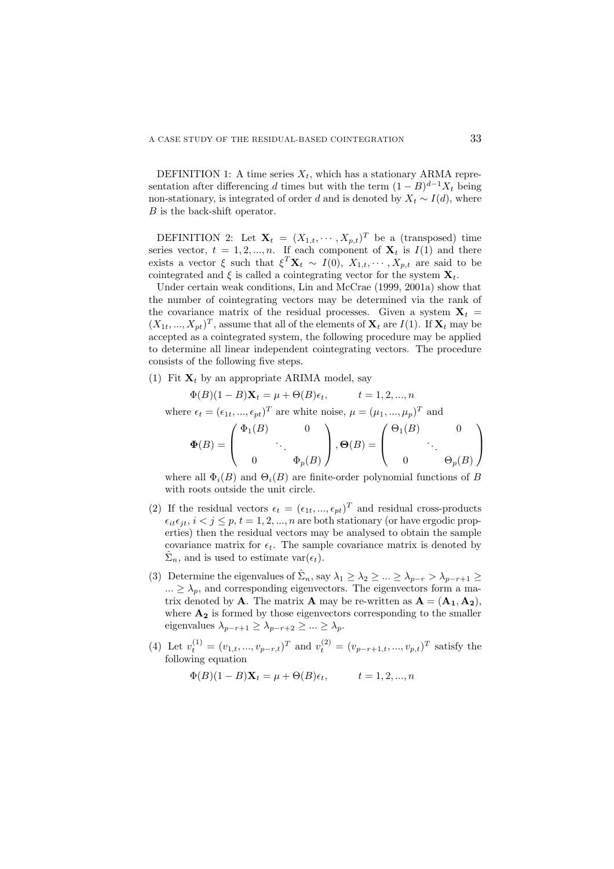DEFINITION 1: A time series  $X_t$ , which has a stationary ARMA representation after differencing d times but with the term  $(1 - B)^{d-1} X_t$  being non-stationary, is integrated of order d and is denoted by  $X_t \sim I(d)$ , where B is the back-shift operator.

DEFINITION 2: Let  $\mathbf{X}_t = (X_{1,t}, \cdots, X_{p,t})^T$  be a (transposed) time series vector,  $t = 1, 2, ..., n$ . If each component of  $\mathbf{X}_t$  is  $I(1)$  and there exists a vector  $\xi$  such that  $\xi^T \mathbf{X}_t \sim I(0)$ ,  $X_{1,t}, \cdots, X_{p,t}$  are said to be cointegrated and  $\xi$  is called a cointegrating vector for the system  $\mathbf{X}_t$ .

Under certain weak conditions, Lin and McCrae (1999, 2001a) show that the number of cointegrating vectors may be determined via the rank of the covariance matrix of the residual processes. Given a system  $X_t =$  $(X_{1t},..., X_{pt})^T$ , assume that all of the elements of  $\mathbf{X}_t$  are  $I(1)$ . If  $\mathbf{X}_t$  may be accepted as a cointegrated system, the following procedure may be applied to determine all linear independent cointegrating vectors. The procedure consists of the following five steps.

(1) Fit  $X_t$  by an appropriate ARIMA model, say

$$
\Phi(B)(1 - B)\mathbf{X}_t = \mu + \Theta(B)\epsilon_t, \qquad t = 1, 2, ..., n
$$
  
where  $\epsilon_t = (\epsilon_{1t}, ..., \epsilon_{pt})^T$  are white noise,  $\mu = (\mu_1, ..., \mu_p)^T$  and  

$$
\begin{pmatrix} \Phi_1(B) & 0 \end{pmatrix} \qquad \begin{pmatrix} \Theta_1(B) & 0 \end{pmatrix}
$$

$$
\Phi(B) = \begin{pmatrix} \Phi_1(B) & 0 \\ & \ddots & \\ 0 & \Phi_p(B) \end{pmatrix}, \Theta(B) = \begin{pmatrix} \Theta_1(B) & 0 \\ & \ddots & \\ 0 & \Theta_p(B) \end{pmatrix}
$$

where all  $\Phi_i(B)$  and  $\Theta_i(B)$  are finite-order polynomial functions of B with roots outside the unit circle.

- (2) If the residual vectors  $\epsilon_t = (\epsilon_{1t}, ..., \epsilon_{pt})^T$  and residual cross-products  $\epsilon_{it} \epsilon_{it}, i < j \leq p, t = 1, 2, ..., n$  are both stationary (or have ergodic properties) then the residual vectors may be analysed to obtain the sample covariance matrix for  $\epsilon_t$ . The sample covariance matrix is denoted by  $\hat{\Sigma}_n$ , and is used to estimate var $(\epsilon_t)$ .
- (3) Determine the eigenvalues of  $\hat{\Sigma}_n$ , say  $\lambda_1 \geq \lambda_2 \geq \ldots \geq \lambda_{p-r} > \lambda_{p-r+1} \geq$  $\ldots \geq \lambda_p$ , and corresponding eigenvectors. The eigenvectors form a matrix denoted by **A**. The matrix **A** may be re-written as  $A = (A_1, A_2)$ , where  $A_2$  is formed by those eigenvectors corresponding to the smaller eigenvalues  $\lambda_{p-r+1} \geq \lambda_{p-r+2} \geq ... \geq \lambda_p$ .
- (4) Let  $v_t^{(1)} = (v_{1,t}, ..., v_{p-r,t})^T$  and  $v_t^{(2)} = (v_{p-r+1,t}, ..., v_{p,t})^T$  satisfy the following equation

$$
\Phi(B)(1 - B)\mathbf{X}_t = \mu + \Theta(B)\epsilon_t, \qquad t = 1, 2, ..., n
$$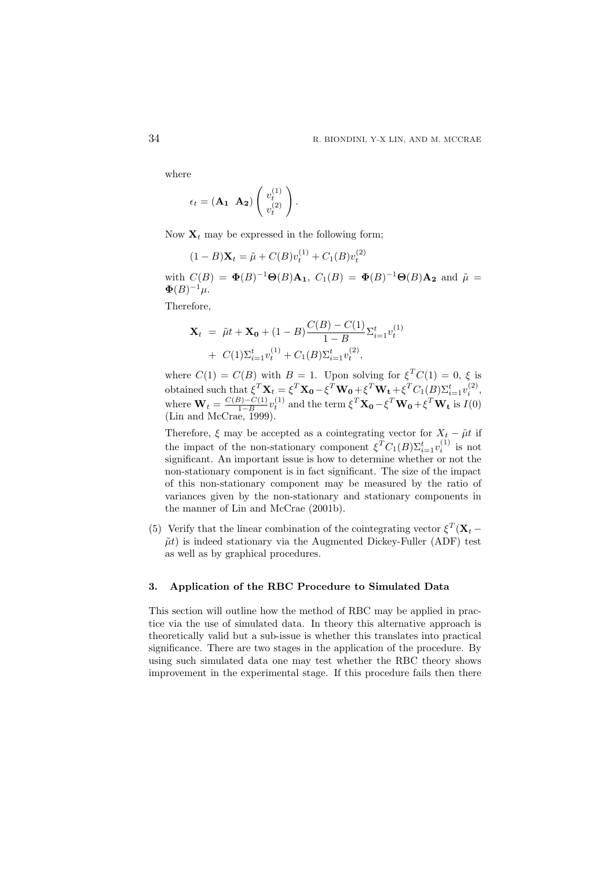where

$$
\epsilon_t = (\mathbf{A_1} \ \mathbf{A_2}) \begin{pmatrix} v_t^{(1)} \\ v_t^{(2)} \end{pmatrix}.
$$

Now  $\mathbf{X}_t$  may be expressed in the following form;

$$
(1 - B)\mathbf{X}_t = \tilde{\mu} + C(B)v_t^{(1)} + C_1(B)v_t^{(2)}
$$

with  $C(B) = \Phi(B)^{-1}\Theta(B)A_1$ ,  $C_1(B) = \Phi(B)^{-1}\Theta(B)A_2$  and  $\tilde{\mu} =$  $\Phi(B)^{-1} \mu.$ 

Therefore,

$$
\mathbf{X}_{t} = \tilde{\mu}t + \mathbf{X_{0}} + (1 - B)\frac{C(B) - C(1)}{1 - B}\Sigma_{i=1}^{t}v_{t}^{(1)} + C(1)\Sigma_{i=1}^{t}v_{t}^{(1)} + C_{1}(B)\Sigma_{i=1}^{t}v_{t}^{(2)},
$$

where  $C(1) = C(B)$  with  $B = 1$ . Upon solving for  $\xi^T C(1) = 0$ ,  $\xi$  is obtained such that  $\xi^T \mathbf{X}_t = \xi^T \mathbf{X}_0 - \xi^T \mathbf{W}_0 + \xi^T \mathbf{W}_t + \xi^T C_1(B) \Sigma_{i=1}^t v_i^{(2)},$ where  $\mathbf{W}_t = \frac{C(B)-C(1)}{1-B}$  $\frac{1-B}{1-B}v_t^{(1)}$  and the term  $\xi^T \mathbf{X_0} - \xi^T \mathbf{W_0} + \xi^T \mathbf{W_t}$  is  $I(0)$ (Lin and McCrae, 1999).

Therefore,  $\xi$  may be accepted as a cointegrating vector for  $X_t - \tilde{\mu}t$  if the impact of the non-stationary component  $\xi^T C_1(B) \Sigma_{i=1}^t v_i^{(1)}$  is not significant. An important issue is how to determine whether or not the non-stationary component is in fact significant. The size of the impact of this non-stationary component may be measured by the ratio of variances given by the non-stationary and stationary components in the manner of Lin and McCrae (2001b).

(5) Verify that the linear combination of the cointegrating vector  $\xi^T (\mathbf{X}_t \tilde{\mu}t$  is indeed stationary via the Augmented Dickey-Fuller (ADF) test as well as by graphical procedures.

#### 3. Application of the RBC Procedure to Simulated Data

This section will outline how the method of RBC may be applied in practice via the use of simulated data. In theory this alternative approach is theoretically valid but a sub-issue is whether this translates into practical significance. There are two stages in the application of the procedure. By using such simulated data one may test whether the RBC theory shows improvement in the experimental stage. If this procedure fails then there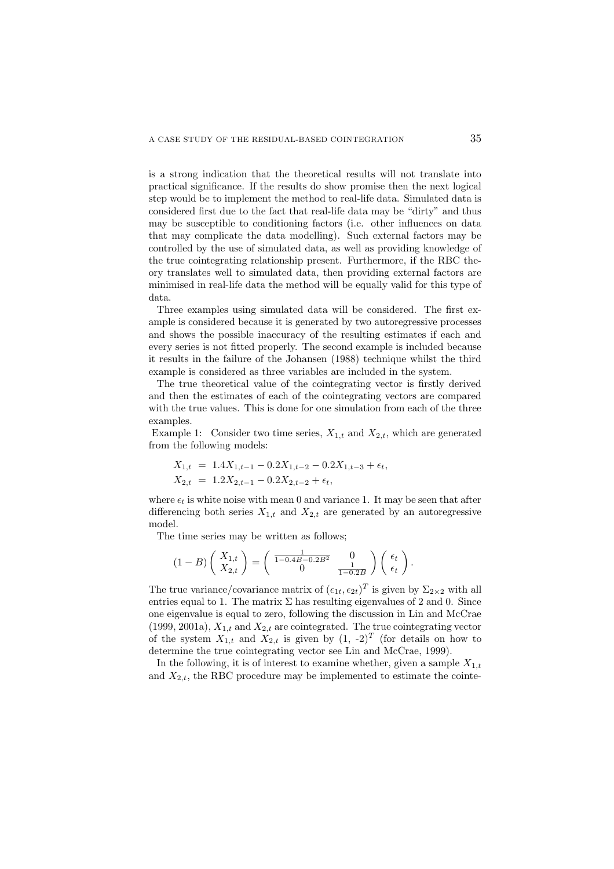is a strong indication that the theoretical results will not translate into practical significance. If the results do show promise then the next logical step would be to implement the method to real-life data. Simulated data is considered first due to the fact that real-life data may be "dirty" and thus may be susceptible to conditioning factors (i.e. other influences on data that may complicate the data modelling). Such external factors may be controlled by the use of simulated data, as well as providing knowledge of the true cointegrating relationship present. Furthermore, if the RBC theory translates well to simulated data, then providing external factors are minimised in real-life data the method will be equally valid for this type of data.

Three examples using simulated data will be considered. The first example is considered because it is generated by two autoregressive processes and shows the possible inaccuracy of the resulting estimates if each and every series is not fitted properly. The second example is included because it results in the failure of the Johansen (1988) technique whilst the third example is considered as three variables are included in the system.

The true theoretical value of the cointegrating vector is firstly derived and then the estimates of each of the cointegrating vectors are compared with the true values. This is done for one simulation from each of the three examples.

Example 1: Consider two time series,  $X_{1,t}$  and  $X_{2,t}$ , which are generated from the following models:

$$
X_{1,t} = 1.4X_{1,t-1} - 0.2X_{1,t-2} - 0.2X_{1,t-3} + \epsilon_t,
$$
  
\n
$$
X_{2,t} = 1.2X_{2,t-1} - 0.2X_{2,t-2} + \epsilon_t,
$$

where  $\epsilon_t$  is white noise with mean 0 and variance 1. It may be seen that after differencing both series  $X_{1,t}$  and  $X_{2,t}$  are generated by an autoregressive model.

The time series may be written as follows;

$$
(1-B)\begin{pmatrix} X_{1,t} \\ X_{2,t} \end{pmatrix} = \begin{pmatrix} \frac{1}{1-0.4B-0.2B^2} & 0 \\ 0 & \frac{1}{1-0.2B} \end{pmatrix} \begin{pmatrix} \epsilon_t \\ \epsilon_t \end{pmatrix}.
$$

The true variance/covariance matrix of  $(\epsilon_{1t}, \epsilon_{2t})^T$  is given by  $\Sigma_{2\times 2}$  with all entries equal to 1. The matrix  $\Sigma$  has resulting eigenvalues of 2 and 0. Since one eigenvalue is equal to zero, following the discussion in Lin and McCrae (1999, 2001a),  $X_{1,t}$  and  $X_{2,t}$  are cointegrated. The true cointegrating vector of the system  $X_{1,t}$  and  $X_{2,t}$  is given by  $(1, -2)^T$  (for details on how to determine the true cointegrating vector see Lin and McCrae, 1999).

In the following, it is of interest to examine whether, given a sample  $X_{1,t}$ and  $X_{2,t}$ , the RBC procedure may be implemented to estimate the cointe-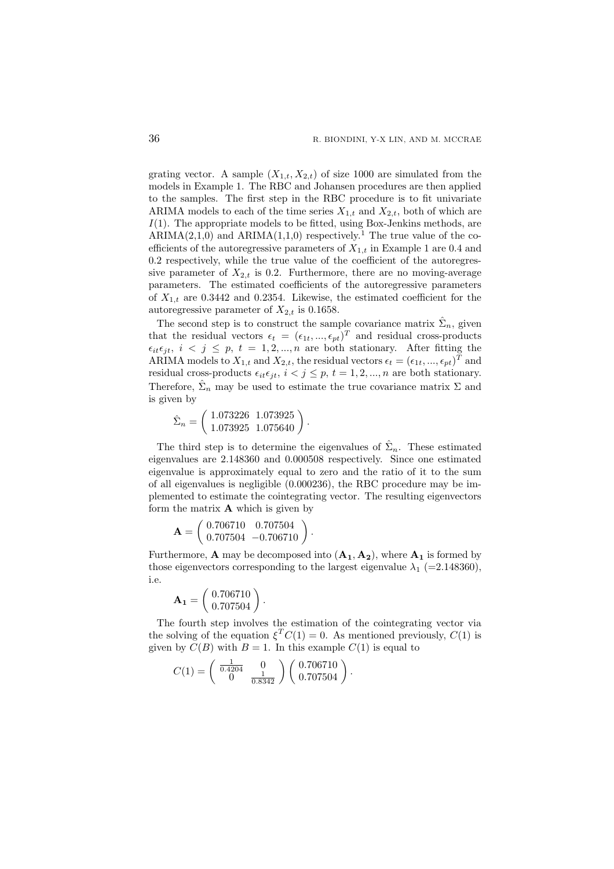grating vector. A sample  $(X_{1,t}, X_{2,t})$  of size 1000 are simulated from the models in Example 1. The RBC and Johansen procedures are then applied to the samples. The first step in the RBC procedure is to fit univariate ARIMA models to each of the time series  $X_{1,t}$  and  $X_{2,t}$ , both of which are  $I(1)$ . The appropriate models to be fitted, using Box-Jenkins methods, are  $ARIMA(2,1,0)$  and  $ARIMA(1,1,0)$  respectively.<sup>1</sup> The true value of the coefficients of the autoregressive parameters of  $X_{1,t}$  in Example 1 are 0.4 and 0.2 respectively, while the true value of the coefficient of the autoregressive parameter of  $X_{2,t}$  is 0.2. Furthermore, there are no moving-average parameters. The estimated coefficients of the autoregressive parameters of  $X_{1,t}$  are 0.3442 and 0.2354. Likewise, the estimated coefficient for the autoregressive parameter of  $X_{2,t}$  is 0.1658.

The second step is to construct the sample covariance matrix  $\hat{\Sigma}_n$ , given that the residual vectors  $\epsilon_t = (\epsilon_{1t}, ..., \epsilon_{pt})^T$  and residual cross-products  $\epsilon_{it} \epsilon_{jt}, i \leq j \leq p, t = 1, 2, ..., n$  are both stationary. After fitting the ARIMA models to  $X_{1,t}$  and  $X_{2,t}$ , the residual vectors  $\epsilon_t = (\epsilon_{1t}, ..., \epsilon_{pt})^T$  and residual cross-products  $\epsilon_{it} \epsilon_{jt}, i < j \leq p, t = 1, 2, ..., n$  are both stationary. Therefore,  $\hat{\Sigma}_n$  may be used to estimate the true covariance matrix  $\Sigma$  and is given by

 $\hat{\Sigma}_n = \left( \begin{array}{cc} 1.073226 & 1.073925 \ 1.073925 & 1.075640 \end{array} \right).$ 

The third step is to determine the eigenvalues of  $\hat{\Sigma}_n$ . These estimated eigenvalues are 2.148360 and 0.000508 respectively. Since one estimated eigenvalue is approximately equal to zero and the ratio of it to the sum of all eigenvalues is negligible (0.000236), the RBC procedure may be implemented to estimate the cointegrating vector. The resulting eigenvectors form the matrix  $\bf{A}$  which is given by

$$
\mathbf{A} = \left( \begin{array}{cc} 0.706710 & 0.707504 \\ 0.707504 & -0.706710 \end{array} \right).
$$

Furthermore, **A** may be decomposed into  $(A_1, A_2)$ , where  $A_1$  is formed by those eigenvectors corresponding to the largest eigenvalue  $\lambda_1$  (=2.148360), i.e.

$$
\mathbf{A_1} = \left(\begin{array}{c} 0.706710 \\ 0.707504 \end{array}\right).
$$

The fourth step involves the estimation of the cointegrating vector via the solving of the equation  $\xi^T C(1) = 0$ . As mentioned previously,  $C(1)$  is given by  $C(B)$  with  $B = 1$ . In this example  $C(1)$  is equal to

$$
C(1) = \begin{pmatrix} \frac{1}{0.4204} & 0\\ 0 & \frac{1}{0.8342} \end{pmatrix} \begin{pmatrix} 0.706710\\ 0.707504 \end{pmatrix}.
$$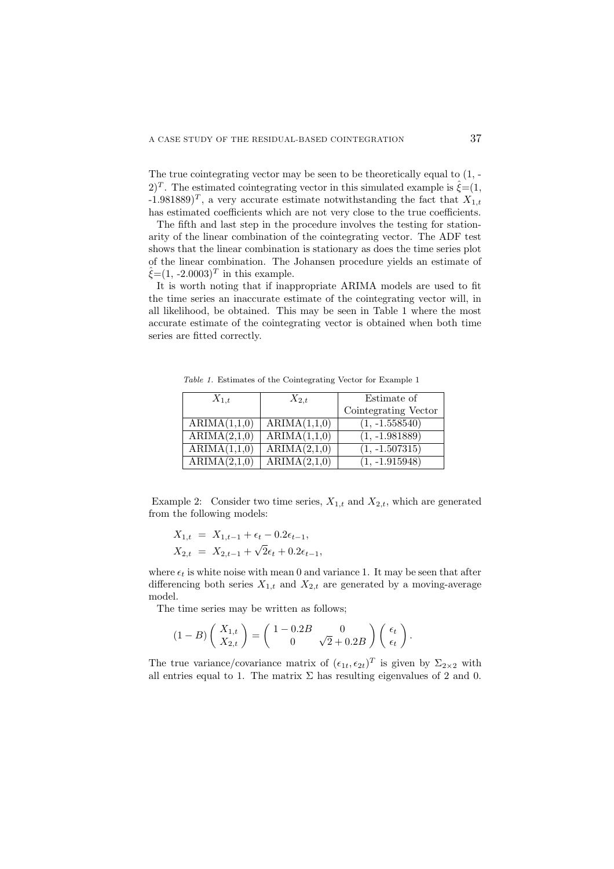The true cointegrating vector may be seen to be theoretically equal to (1, - 2)<sup>T</sup>. The estimated cointegrating vector in this simulated example is  $\hat{\xi} = (1, 1)$  $(-1.981889)^T$ , a very accurate estimate notwithstanding the fact that  $X_{1,t}$ has estimated coefficients which are not very close to the true coefficients.

The fifth and last step in the procedure involves the testing for stationarity of the linear combination of the cointegrating vector. The ADF test shows that the linear combination is stationary as does the time series plot of the linear combination. The Johansen procedure yields an estimate of  $\hat{\xi} = (1, -2.0003)^T$  in this example.

It is worth noting that if inappropriate ARIMA models are used to fit the time series an inaccurate estimate of the cointegrating vector will, in all likelihood, be obtained. This may be seen in Table 1 where the most accurate estimate of the cointegrating vector is obtained when both time series are fitted correctly.

| $X_{1,t}$                        | $X_{2,t}$                        | Estimate of          |  |
|----------------------------------|----------------------------------|----------------------|--|
|                                  |                                  | Cointegrating Vector |  |
| $\overline{\text{ARIMA}}(1,1,0)$ | $\overline{\text{ARIMA}}(1,1,0)$ | $(1, -1.558540)$     |  |
| ARIMA(2,1,0)                     | ARIMA(1,1,0)                     | $(1, -1.981889)$     |  |
| ARIMA(1,1,0)                     | ARIMA(2,1,0)                     | $(1, -1.507315)$     |  |
| $\overline{\text{ARIMA}}(2,1,0)$ | ARIMA(2,1,0)                     | $(1, -1.915948)$     |  |

Table 1. Estimates of the Cointegrating Vector for Example 1

Example 2: Consider two time series,  $X_{1,t}$  and  $X_{2,t}$ , which are generated from the following models:

$$
X_{1,t} = X_{1,t-1} + \epsilon_t - 0.2\epsilon_{t-1},
$$
  

$$
X_{2,t} = X_{2,t-1} + \sqrt{2}\epsilon_t + 0.2\epsilon_{t-1},
$$

where  $\epsilon_t$  is white noise with mean 0 and variance 1. It may be seen that after differencing both series  $X_{1,t}$  and  $X_{2,t}$  are generated by a moving-average model.

The time series may be written as follows;

$$
(1-B)\left(\begin{array}{c} X_{1,t} \\ X_{2,t} \end{array}\right) = \left(\begin{array}{cc} 1-0.2B & 0 \\ 0 & \sqrt{2}+0.2B \end{array}\right)\left(\begin{array}{c} \epsilon_t \\ \epsilon_t \end{array}\right).
$$

The true variance/covariance matrix of  $(\epsilon_{1t}, \epsilon_{2t})^T$  is given by  $\Sigma_{2\times 2}$  with all entries equal to 1. The matrix  $\Sigma$  has resulting eigenvalues of 2 and 0.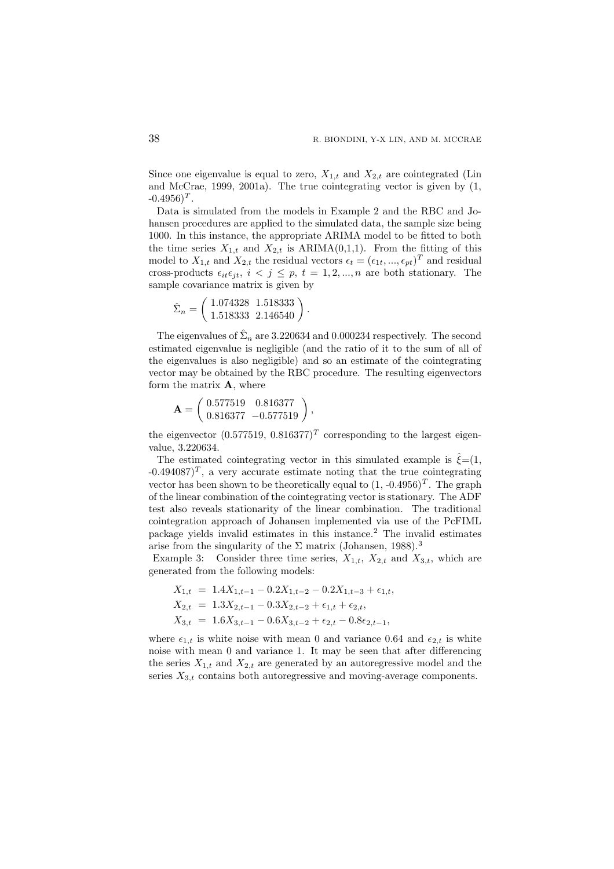Since one eigenvalue is equal to zero,  $X_{1,t}$  and  $X_{2,t}$  are cointegrated (Lin and McCrae, 1999, 2001a). The true cointegrating vector is given by (1,  $-0.4956$ <sup>T</sup>.

Data is simulated from the models in Example 2 and the RBC and Johansen procedures are applied to the simulated data, the sample size being 1000. In this instance, the appropriate ARIMA model to be fitted to both the time series  $X_{1,t}$  and  $X_{2,t}$  is ARIMA(0,1,1). From the fitting of this model to  $X_{1,t}$  and  $X_{2,t}$  the residual vectors  $\epsilon_t = (\epsilon_{1t}, ..., \epsilon_{pt})^T$  and residual cross-products  $\epsilon_{it} \epsilon_{jt}$ ,  $i < j \leq p$ ,  $t = 1, 2, ..., n$  are both stationary. The sample covariance matrix is given by

$$
\hat{\Sigma}_n = \left( \begin{array}{cc} 1.074328 & 1.518333 \\ 1.518333 & 2.146540 \end{array} \right).
$$

The eigenvalues of  $\hat{\Sigma}_n$  are 3.220634 and 0.000234 respectively. The second estimated eigenvalue is negligible (and the ratio of it to the sum of all of the eigenvalues is also negligible) and so an estimate of the cointegrating vector may be obtained by the RBC procedure. The resulting eigenvectors form the matrix  $\bf{A}$ , where

$$
\mathbf{A} = \left( \begin{array}{cc} 0.577519 & 0.816377 \\ 0.816377 & -0.577519 \end{array} \right),
$$

the eigenvector  $(0.577519, 0.816377)^T$  corresponding to the largest eigenvalue, 3.220634.

The estimated cointegrating vector in this simulated example is  $\hat{\xi}=(1,$  $(-0.494087)^T$ , a very accurate estimate noting that the true cointegrating vector has been shown to be theoretically equal to  $(1, -0.4956)^T$ . The graph of the linear combination of the cointegrating vector is stationary. The ADF test also reveals stationarity of the linear combination. The traditional cointegration approach of Johansen implemented via use of the PcFIML package yields invalid estimates in this instance.<sup>2</sup> The invalid estimates arise from the singularity of the  $\Sigma$  matrix (Johansen, 1988).<sup>3</sup>

Example 3: Consider three time series,  $X_{1,t}$ ,  $X_{2,t}$  and  $X_{3,t}$ , which are generated from the following models:

$$
X_{1,t} = 1.4X_{1,t-1} - 0.2X_{1,t-2} - 0.2X_{1,t-3} + \epsilon_{1,t},
$$
  
\n
$$
X_{2,t} = 1.3X_{2,t-1} - 0.3X_{2,t-2} + \epsilon_{1,t} + \epsilon_{2,t},
$$
  
\n
$$
X_{3,t} = 1.6X_{3,t-1} - 0.6X_{3,t-2} + \epsilon_{2,t} - 0.8\epsilon_{2,t-1},
$$

where  $\epsilon_{1,t}$  is white noise with mean 0 and variance 0.64 and  $\epsilon_{2,t}$  is white noise with mean 0 and variance 1. It may be seen that after differencing the series  $X_{1,t}$  and  $X_{2,t}$  are generated by an autoregressive model and the series  $X_{3,t}$  contains both autoregressive and moving-average components.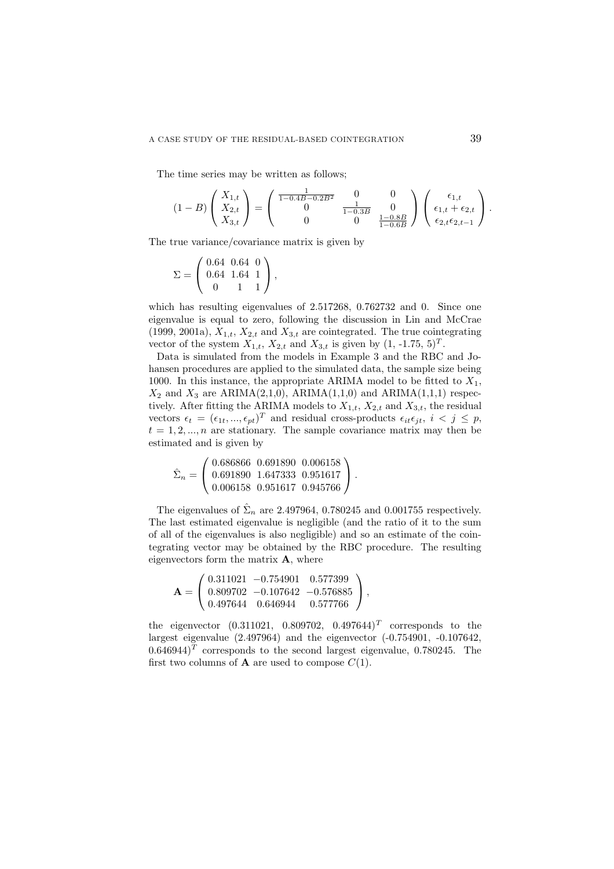The time series may be written as follows;

$$
(1-B)\begin{pmatrix} X_{1,t} \\ X_{2,t} \\ X_{3,t} \end{pmatrix} = \begin{pmatrix} \frac{1}{1-0.4B-0.2B^2} & 0 & 0 \\ 0 & \frac{1}{1-0.3B} & 0 \\ 0 & 0 & \frac{1-0.8B}{1-0.6B} \end{pmatrix} \begin{pmatrix} \epsilon_{1,t} \\ \epsilon_{1,t} + \epsilon_{2,t} \\ \epsilon_{2,t} \epsilon_{2,t-1} \end{pmatrix}.
$$

The true variance/covariance matrix is given by

$$
\Sigma = \left(\begin{array}{rrr} 0.64 & 0.64 & 0 \\ 0.64 & 1.64 & 1 \\ 0 & 1 & 1 \end{array}\right),
$$

which has resulting eigenvalues of 2.517268, 0.762732 and 0. Since one eigenvalue is equal to zero, following the discussion in Lin and McCrae (1999, 2001a),  $X_{1,t}$ ,  $X_{2,t}$  and  $X_{3,t}$  are cointegrated. The true cointegrating vector of the system  $X_{1,t}$ ,  $X_{2,t}$  and  $X_{3,t}$  is given by  $(1, -1.75, 5)^T$ .

Data is simulated from the models in Example 3 and the RBC and Johansen procedures are applied to the simulated data, the sample size being 1000. In this instance, the appropriate ARIMA model to be fitted to  $X_1$ ,  $X_2$  and  $X_3$  are ARIMA(2,1,0), ARIMA(1,1,0) and ARIMA(1,1,1) respectively. After fitting the ARIMA models to  $X_{1,t}$ ,  $X_{2,t}$  and  $X_{3,t}$ , the residual vectors  $\epsilon_t = (\epsilon_{1t}, ..., \epsilon_{pt})^T$  and residual cross-products  $\epsilon_{it} \epsilon_{jt}, i < j \leq p$ ,  $t = 1, 2, \ldots, n$  are stationary. The sample covariance matrix may then be estimated and is given by

$$
\hat{\Sigma}_n = \left(\begin{array}{ccc} 0.686866 & 0.691890 & 0.006158 \\ 0.691890 & 1.647333 & 0.951617 \\ 0.006158 & 0.951617 & 0.945766 \end{array}\right).
$$

The eigenvalues of  $\hat{\Sigma}_n$  are 2.497964, 0.780245 and 0.001755 respectively. The last estimated eigenvalue is negligible (and the ratio of it to the sum of all of the eigenvalues is also negligible) and so an estimate of the cointegrating vector may be obtained by the RBC procedure. The resulting eigenvectors form the matrix A, where

$$
\mathbf{A} = \left(\begin{array}{ccc} 0.311021 & -0.754901 & 0.577399 \\ 0.809702 & -0.107642 & -0.576885 \\ 0.497644 & 0.646944 & 0.577766 \end{array}\right),
$$

the eigenvector  $(0.311021, 0.809702, 0.497644)^T$  corresponds to the largest eigenvalue (2.497964) and the eigenvector (-0.754901, -0.107642,  $0.646944$ <sup>T</sup> corresponds to the second largest eigenvalue, 0.780245. The first two columns of **A** are used to compose  $C(1)$ .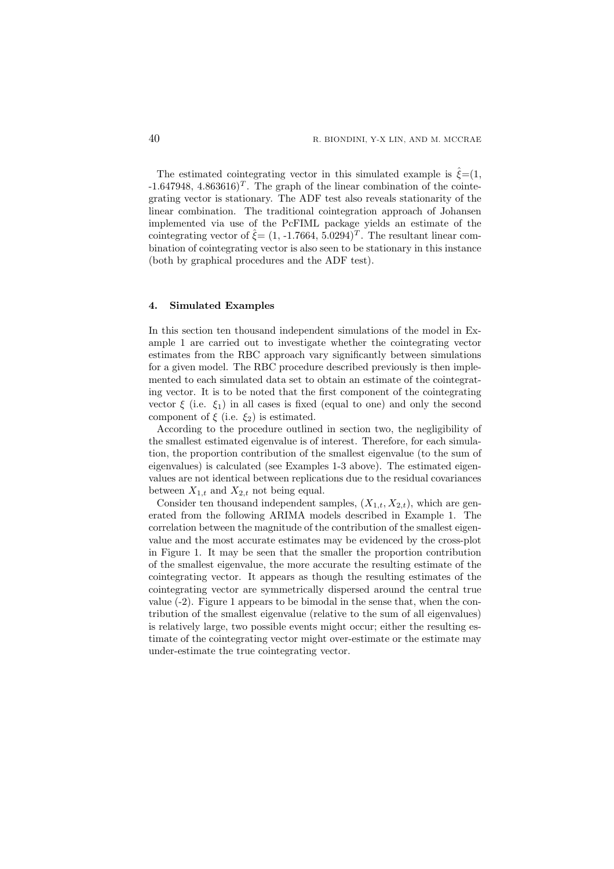The estimated cointegrating vector in this simulated example is  $\hat{\xi}=(1,1)$  $-1.647948$ ,  $4.863616$ <sup>T</sup>. The graph of the linear combination of the cointegrating vector is stationary. The ADF test also reveals stationarity of the linear combination. The traditional cointegration approach of Johansen implemented via use of the PcFIML package yields an estimate of the cointegrating vector of  $\hat{\xi} = (1, -1.7664, 5.0294)^T$ . The resultant linear combination of cointegrating vector is also seen to be stationary in this instance (both by graphical procedures and the ADF test).

## 4. Simulated Examples

In this section ten thousand independent simulations of the model in Example 1 are carried out to investigate whether the cointegrating vector estimates from the RBC approach vary significantly between simulations for a given model. The RBC procedure described previously is then implemented to each simulated data set to obtain an estimate of the cointegrating vector. It is to be noted that the first component of the cointegrating vector  $\xi$  (i.e.  $\xi_1$ ) in all cases is fixed (equal to one) and only the second component of  $\xi$  (i.e.  $\xi_2$ ) is estimated.

According to the procedure outlined in section two, the negligibility of the smallest estimated eigenvalue is of interest. Therefore, for each simulation, the proportion contribution of the smallest eigenvalue (to the sum of eigenvalues) is calculated (see Examples 1-3 above). The estimated eigenvalues are not identical between replications due to the residual covariances between  $X_{1,t}$  and  $X_{2,t}$  not being equal.

Consider ten thousand independent samples,  $(X_{1,t}, X_{2,t})$ , which are generated from the following ARIMA models described in Example 1. The correlation between the magnitude of the contribution of the smallest eigenvalue and the most accurate estimates may be evidenced by the cross-plot in Figure 1. It may be seen that the smaller the proportion contribution of the smallest eigenvalue, the more accurate the resulting estimate of the cointegrating vector. It appears as though the resulting estimates of the cointegrating vector are symmetrically dispersed around the central true value (-2). Figure 1 appears to be bimodal in the sense that, when the contribution of the smallest eigenvalue (relative to the sum of all eigenvalues) is relatively large, two possible events might occur; either the resulting estimate of the cointegrating vector might over-estimate or the estimate may under-estimate the true cointegrating vector.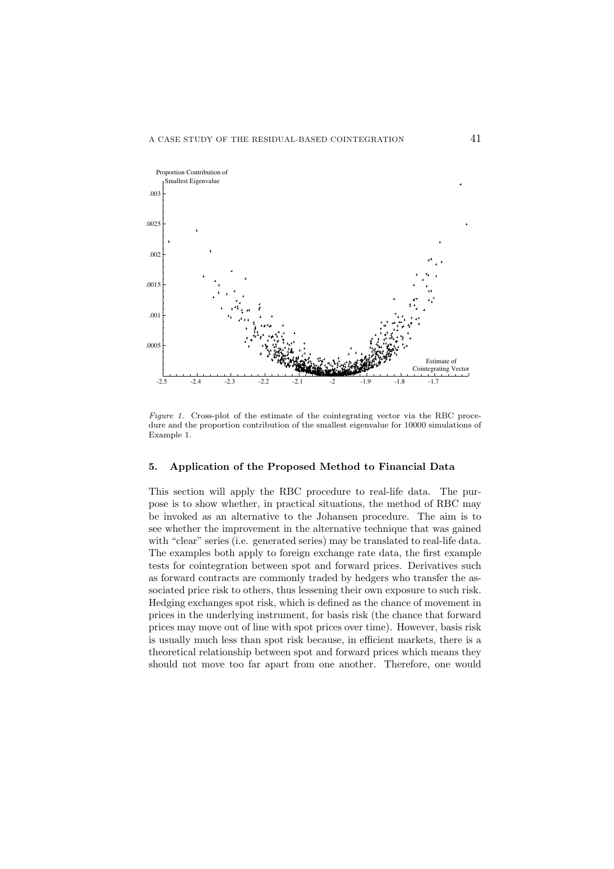

Figure 1. Cross-plot of the estimate of the cointegrating vector via the RBC procedure and the proportion contribution of the smallest eigenvalue for 10000 simulations of Example 1.

# 5. Application of the Proposed Method to Financial Data

This section will apply the RBC procedure to real-life data. The purpose is to show whether, in practical situations, the method of RBC may be invoked as an alternative to the Johansen procedure. The aim is to see whether the improvement in the alternative technique that was gained with "clear" series (i.e. generated series) may be translated to real-life data. The examples both apply to foreign exchange rate data, the first example tests for cointegration between spot and forward prices. Derivatives such as forward contracts are commonly traded by hedgers who transfer the associated price risk to others, thus lessening their own exposure to such risk. Hedging exchanges spot risk, which is defined as the chance of movement in prices in the underlying instrument, for basis risk (the chance that forward prices may move out of line with spot prices over time). However, basis risk is usually much less than spot risk because, in efficient markets, there is a theoretical relationship between spot and forward prices which means they should not move too far apart from one another. Therefore, one would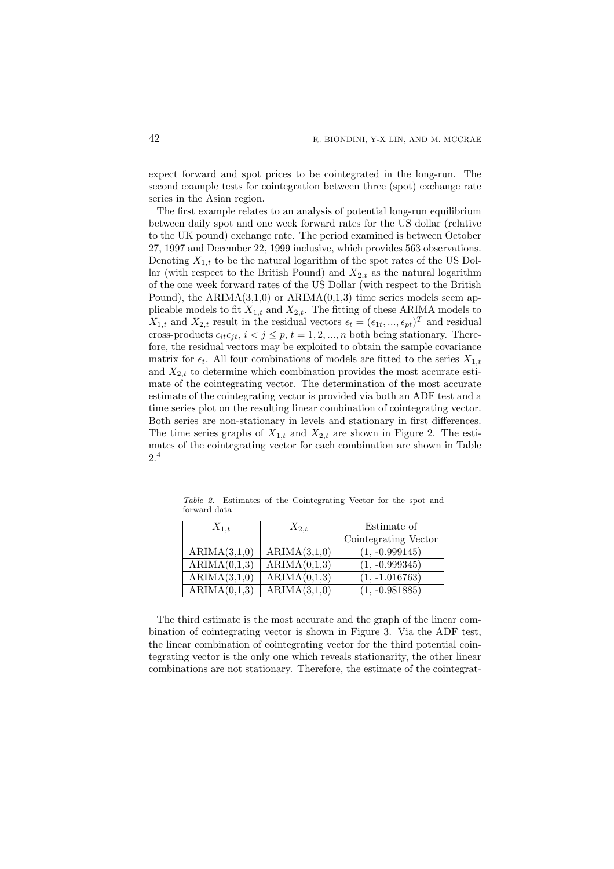expect forward and spot prices to be cointegrated in the long-run. The second example tests for cointegration between three (spot) exchange rate series in the Asian region.

The first example relates to an analysis of potential long-run equilibrium between daily spot and one week forward rates for the US dollar (relative to the UK pound) exchange rate. The period examined is between October 27, 1997 and December 22, 1999 inclusive, which provides 563 observations. Denoting  $X_{1,t}$  to be the natural logarithm of the spot rates of the US Dollar (with respect to the British Pound) and  $X_{2,t}$  as the natural logarithm of the one week forward rates of the US Dollar (with respect to the British Pound), the  $ARIMA(3,1,0)$  or  $ARIMA(0,1,3)$  time series models seem applicable models to fit  $X_{1,t}$  and  $X_{2,t}$ . The fitting of these ARIMA models to  $X_{1,t}$  and  $X_{2,t}$  result in the residual vectors  $\epsilon_t = (\epsilon_{1t}, ..., \epsilon_{pt})^T$  and residual cross-products  $\epsilon_{it} \epsilon_{it}$ ,  $i < j \leq p$ ,  $t = 1, 2, ..., n$  both being stationary. Therefore, the residual vectors may be exploited to obtain the sample covariance matrix for  $\epsilon_t$ . All four combinations of models are fitted to the series  $X_{1,t}$ and  $X_{2,t}$  to determine which combination provides the most accurate estimate of the cointegrating vector. The determination of the most accurate estimate of the cointegrating vector is provided via both an ADF test and a time series plot on the resulting linear combination of cointegrating vector. Both series are non-stationary in levels and stationary in first differences. The time series graphs of  $X_{1,t}$  and  $X_{2,t}$  are shown in Figure 2. The estimates of the cointegrating vector for each combination are shown in Table 2.<sup>4</sup>

| $X_{1,t}$                        | $X_{2,t}$                        | Estimate of          |  |  |
|----------------------------------|----------------------------------|----------------------|--|--|
|                                  |                                  | Cointegrating Vector |  |  |
| ARIMA(3,1,0)                     | $\overline{\text{ARIMA}}(3,1,0)$ | $(1, -0.999145)$     |  |  |
| ARIMA(0,1,3)                     | ARIMA(0,1,3)                     | $(1, -0.999345)$     |  |  |
| $\overline{\text{ARIMA}(3,1,0)}$ | ARIMA(0,1,3)                     | $(1, -1.016763)$     |  |  |
| $\overline{\text{ARIMA}}(0,1,3)$ | ARIMA(3,1,0)                     | $(1, -0.981885)$     |  |  |

Table 2. Estimates of the Cointegrating Vector for the spot and forward data

The third estimate is the most accurate and the graph of the linear combination of cointegrating vector is shown in Figure 3. Via the ADF test, the linear combination of cointegrating vector for the third potential cointegrating vector is the only one which reveals stationarity, the other linear combinations are not stationary. Therefore, the estimate of the cointegrat-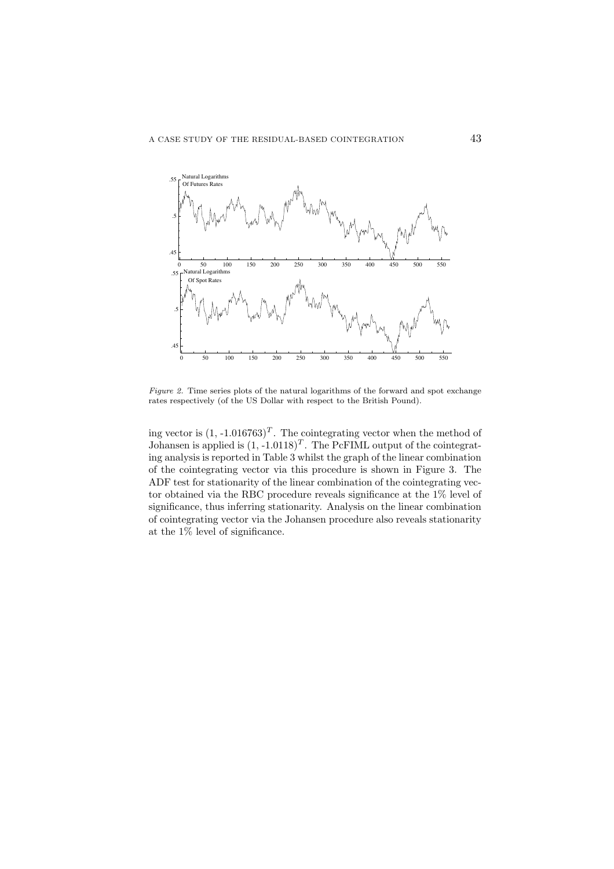

Figure 2. Time series plots of the natural logarithms of the forward and spot exchange rates respectively (of the US Dollar with respect to the British Pound).

ing vector is  $(1, -1.016763)^T$ . The cointegrating vector when the method of Johansen is applied is  $(1, -1.0118)^T$ . The PcFIML output of the cointegrating analysis is reported in Table 3 whilst the graph of the linear combination of the cointegrating vector via this procedure is shown in Figure 3. The ADF test for stationarity of the linear combination of the cointegrating vector obtained via the RBC procedure reveals significance at the 1% level of significance, thus inferring stationarity. Analysis on the linear combination of cointegrating vector via the Johansen procedure also reveals stationarity at the 1% level of significance.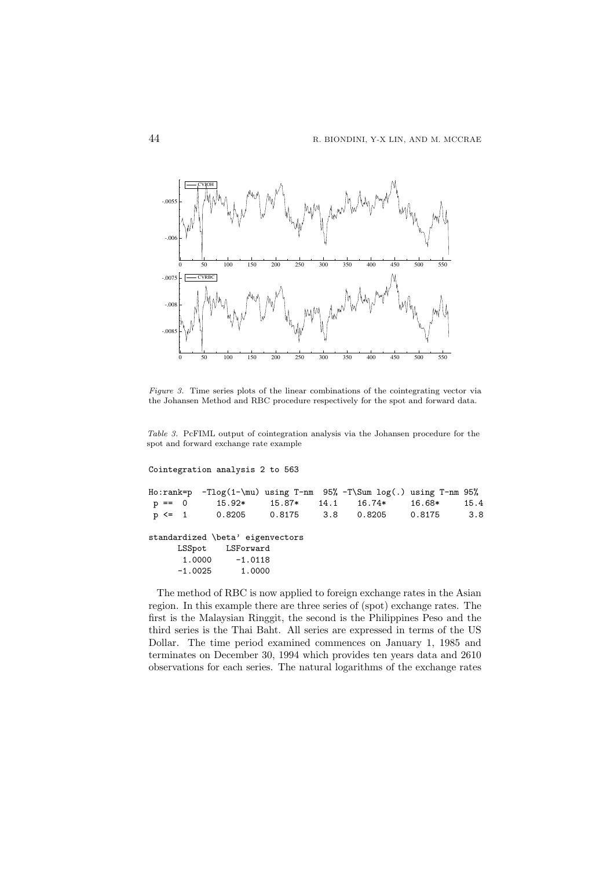

Figure 3. Time series plots of the linear combinations of the cointegrating vector via the Johansen Method and RBC procedure respectively for the spot and forward data.

Table 3. PcFIML output of cointegration analysis via the Johansen procedure for the spot and forward exchange rate example

Cointegration analysis 2 to 563

|           |                                   |  | $Ho:rank=p$ -Tlog(1-\mu) using T-nm 95% -T\Sum log(.) using T-nm 95% |        |      |
|-----------|-----------------------------------|--|----------------------------------------------------------------------|--------|------|
|           | $p == 0$ $15.92*$ $15.87*$ $14.1$ |  | 16.74*                                                               | 16.68* | 15.4 |
|           |                                   |  | $p \le 1$ 0.8205 0.8175 3.8 0.8205 0.8175 3.8                        |        |      |
|           |                                   |  |                                                                      |        |      |
|           | standardized \beta' eigenvectors  |  |                                                                      |        |      |
|           | LSSpot LSForward                  |  |                                                                      |        |      |
|           | $1.0000 - 1.0118$                 |  |                                                                      |        |      |
| $-1.0025$ | 1.0000                            |  |                                                                      |        |      |

The method of RBC is now applied to foreign exchange rates in the Asian region. In this example there are three series of (spot) exchange rates. The first is the Malaysian Ringgit, the second is the Philippines Peso and the third series is the Thai Baht. All series are expressed in terms of the US Dollar. The time period examined commences on January 1, 1985 and terminates on December 30, 1994 which provides ten years data and 2610 observations for each series. The natural logarithms of the exchange rates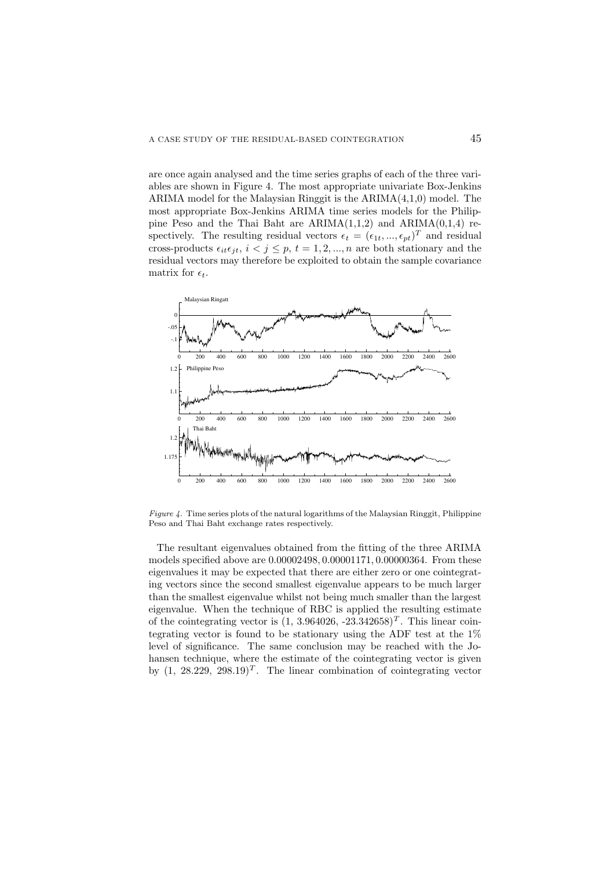are once again analysed and the time series graphs of each of the three variables are shown in Figure 4. The most appropriate univariate Box-Jenkins ARIMA model for the Malaysian Ringgit is the ARIMA(4,1,0) model. The most appropriate Box-Jenkins ARIMA time series models for the Philippine Peso and the Thai Baht are  $ARIMA(1,1,2)$  and  $ARIMA(0,1,4)$  respectively. The resulting residual vectors  $\epsilon_t = (\epsilon_{1t}, ..., \epsilon_{pt})^T$  and residual cross-products  $\epsilon_{it} \epsilon_{jt}, i < j \leq p, t = 1, 2, ..., n$  are both stationary and the residual vectors may therefore be exploited to obtain the sample covariance matrix for  $\epsilon_t$ .



Figure 4. Time series plots of the natural logarithms of the Malaysian Ringgit, Philippine Peso and Thai Baht exchange rates respectively.

The resultant eigenvalues obtained from the fitting of the three ARIMA models specified above are 0.00002498, 0.00001171, 0.00000364. From these eigenvalues it may be expected that there are either zero or one cointegrating vectors since the second smallest eigenvalue appears to be much larger than the smallest eigenvalue whilst not being much smaller than the largest eigenvalue. When the technique of RBC is applied the resulting estimate of the cointegrating vector is  $(1, 3.964026, -23.342658)^T$ . This linear cointegrating vector is found to be stationary using the ADF test at the 1% level of significance. The same conclusion may be reached with the Johansen technique, where the estimate of the cointegrating vector is given by  $(1, 28.229, 298.19)^T$ . The linear combination of cointegrating vector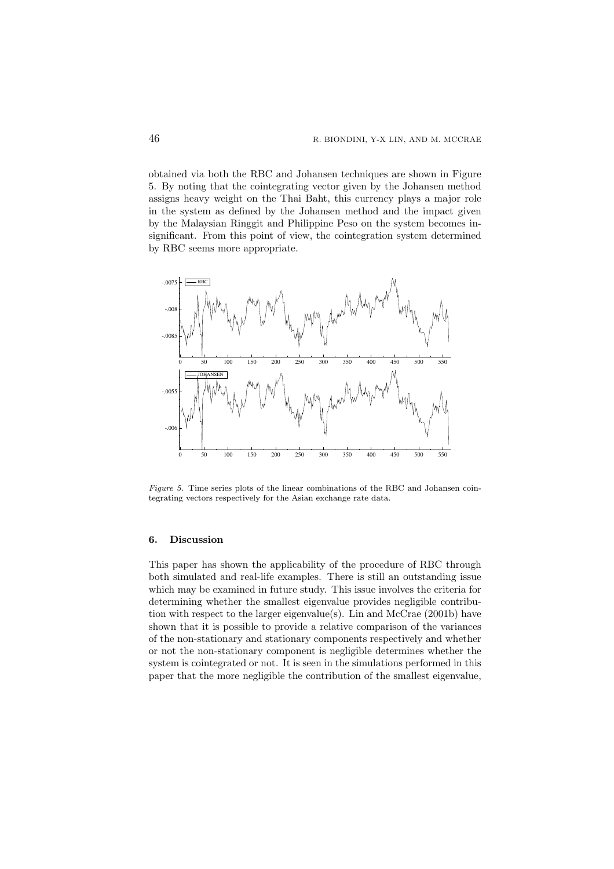obtained via both the RBC and Johansen techniques are shown in Figure 5. By noting that the cointegrating vector given by the Johansen method assigns heavy weight on the Thai Baht, this currency plays a major role in the system as defined by the Johansen method and the impact given by the Malaysian Ringgit and Philippine Peso on the system becomes insignificant. From this point of view, the cointegration system determined by RBC seems more appropriate.



Figure 5. Time series plots of the linear combinations of the RBC and Johansen cointegrating vectors respectively for the Asian exchange rate data.

# 6. Discussion

This paper has shown the applicability of the procedure of RBC through both simulated and real-life examples. There is still an outstanding issue which may be examined in future study. This issue involves the criteria for determining whether the smallest eigenvalue provides negligible contribution with respect to the larger eigenvalue(s). Lin and McCrae (2001b) have shown that it is possible to provide a relative comparison of the variances of the non-stationary and stationary components respectively and whether or not the non-stationary component is negligible determines whether the system is cointegrated or not. It is seen in the simulations performed in this paper that the more negligible the contribution of the smallest eigenvalue,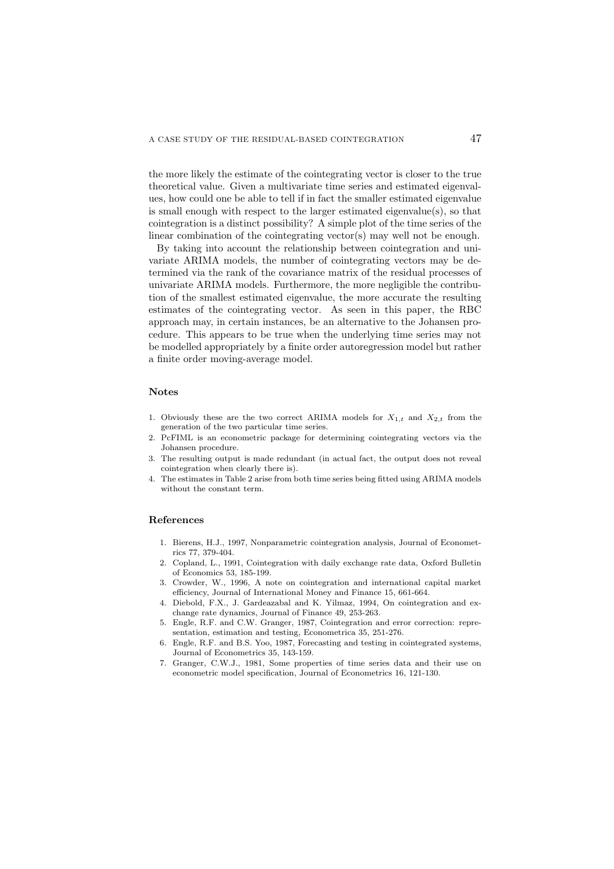the more likely the estimate of the cointegrating vector is closer to the true theoretical value. Given a multivariate time series and estimated eigenvalues, how could one be able to tell if in fact the smaller estimated eigenvalue is small enough with respect to the larger estimated eigenvalue(s), so that cointegration is a distinct possibility? A simple plot of the time series of the linear combination of the cointegrating vector(s) may well not be enough.

By taking into account the relationship between cointegration and univariate ARIMA models, the number of cointegrating vectors may be determined via the rank of the covariance matrix of the residual processes of univariate ARIMA models. Furthermore, the more negligible the contribution of the smallest estimated eigenvalue, the more accurate the resulting estimates of the cointegrating vector. As seen in this paper, the RBC approach may, in certain instances, be an alternative to the Johansen procedure. This appears to be true when the underlying time series may not be modelled appropriately by a finite order autoregression model but rather a finite order moving-average model.

### Notes

- 1. Obviously these are the two correct ARIMA models for  $X_{1,t}$  and  $X_{2,t}$  from the generation of the two particular time series.
- 2. PcFIML is an econometric package for determining cointegrating vectors via the Johansen procedure.
- 3. The resulting output is made redundant (in actual fact, the output does not reveal cointegration when clearly there is).
- 4. The estimates in Table 2 arise from both time series being fitted using ARIMA models without the constant term.

#### References

- 1. Bierens, H.J., 1997, Nonparametric cointegration analysis, Journal of Econometrics 77, 379-404.
- 2. Copland, L., 1991, Cointegration with daily exchange rate data, Oxford Bulletin of Economics 53, 185-199.
- 3. Crowder, W., 1996, A note on cointegration and international capital market efficiency, Journal of International Money and Finance 15, 661-664.
- 4. Diebold, F.X., J. Gardeazabal and K. Yilmaz, 1994, On cointegration and exchange rate dynamics, Journal of Finance 49, 253-263.
- 5. Engle, R.F. and C.W. Granger, 1987, Cointegration and error correction: representation, estimation and testing, Econometrica 35, 251-276.
- 6. Engle, R.F. and B.S. Yoo, 1987, Forecasting and testing in cointegrated systems, Journal of Econometrics 35, 143-159.
- 7. Granger, C.W.J., 1981, Some properties of time series data and their use on econometric model specification, Journal of Econometrics 16, 121-130.